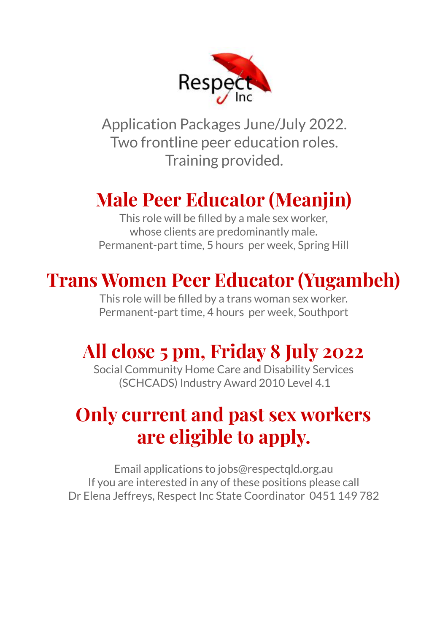

Application Packages June/July 2022. Two frontline peer education roles. Training provided.

## **Male Peer Educator (Meanjin)**

This role will be filled by a male sex worker, whose clients are predominantly male. Permanent-part time, 5 hours per week, Spring Hill

## **Trans Women Peer Educator (Yugambeh)**

This role will be filled by a trans woman sex worker. Permanent-part time, 4 hours per week, Southport

## **All close 5 pm, Friday 8 July 2022**

Social Community Home Care and Disability Services (SCHCADS) Industry Award 2010 Level 4.1

## **Only current and past sex workers are eligible to apply.**

Email applications to jobs@respectqld.org.au If you are interested in any of these positions please call Dr Elena Jeffreys, Respect Inc State Coordinator 0451 149 782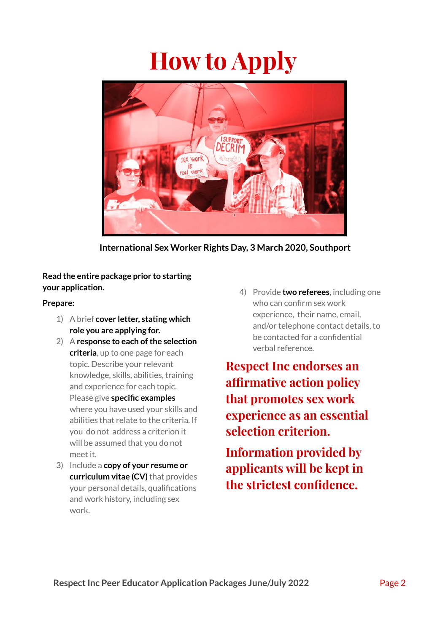# **How to Apply**



**International Sex Worker Rights Day, 3 March 2020, Southport**

#### **Read the entire package prior to starting your application.**

#### **Prepare:**

- 1) A brief **cover letter, stating which role you are applying for.**
- 2) A **response to each ofthe selection criteria**, up to one page for each topic. Describe your relevant knowledge, skills, abilities, training and experience for each topic. Please give **specific examples** where you have used your skills and abilities that relate to the criteria. If you do not address a criterion it will be assumed that you do not meet it.
- 3) Include a **copy of your resume or curriculum vitae (CV)** that provides your personal details, qualifications and work history, including sex work.

4) Provide **two referees**, including one who can confirm sex work experience, their name, email, and/or telephone contact details, to be contacted for a confidential verbal reference.

**Respect Inc endorses an affirmative action policy that promotes sex work experience as an essential selection criterion.**

**Information provided by applicants will be kept in the strictest confidence.**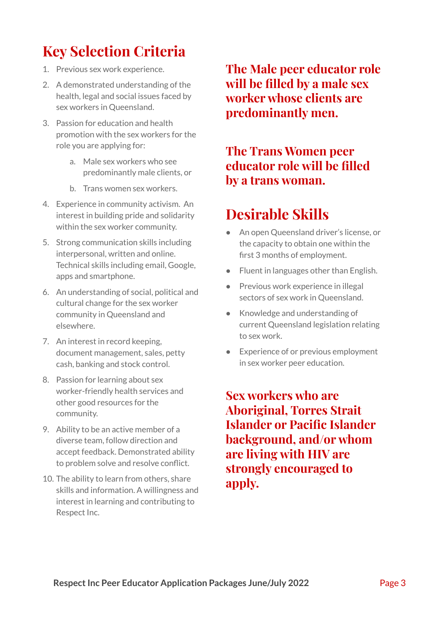### **Key Selection Criteria**

- 1. Previous sex work experience.
- 2. A demonstrated understanding of the health, legal and social issues faced by sex workers in Queensland.
- 3. Passion for education and health promotion with the sex workers for the role you are applying for:
	- a. Male sex workers who see predominantly male clients, or
	- b. Trans women sex workers.
- 4. Experience in community activism. An interest in building pride and solidarity within the sex worker community.
- 5. Strong communication skills including interpersonal, written and online. Technical skills including email, Google, apps and smartphone.
- 6. An understanding of social, political and cultural change for the sex worker community in Queensland and elsewhere.
- 7. An interest in record keeping, document management, sales, petty cash, banking and stock control.
- 8. Passion for learning about sex worker-friendly health services and other good resources for the community.
- 9. Ability to be an active member of a diverse team, follow direction and accept feedback. Demonstrated ability to problem solve and resolve conflict.
- 10. The ability to learn from others, share skills and information. A willingness and interest in learning and contributing to Respect Inc.

**The Male peer educator role will be filled by a male sex worker whose clients are predominantly men.**

### **The Trans Women peer educator role will be filled by a trans woman.**

### **Desirable Skills**

- An open Queensland driver's license, or the capacity to obtain one within the first 3 months of employment.
- Fluent in languages other than English.
- Previous work experience in illegal sectors of sex work in Queensland.
- Knowledge and understanding of current Queensland legislation relating to sex work.
- Experience of or previous employment in sex worker peer education.

**Sex workers who are Aboriginal, Torres Strait Islander or Pacific Islander background, and/or whom are living with HIV are strongly encouraged to apply.**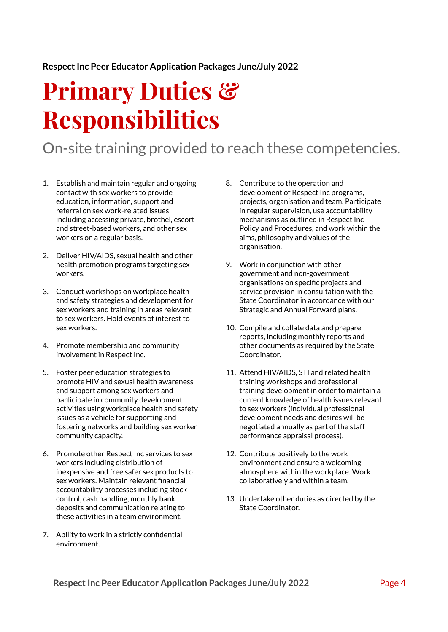#### **RespectInc Peer Educator Application Packages June/July 2022**

# **Primary Duties & Responsibilities**

### On-site training provided to reach these competencies.

- 1. Establish and maintain regular and ongoing contact with sex workers to provide education, information, support and referral on sex work-related issues including accessing private, brothel, escort and street-based workers, and other sex workers on a regular basis.
- 2. Deliver HIV/AIDS, sexual health and other health promotion programs targeting sex workers.
- 3. Conduct workshops on workplace health and safety strategies and development for sex workers and training in areas relevant to sex workers. Hold events of interest to sex workers.
- 4. Promote membership and community involvement in Respect Inc.
- 5. Foster peer education strategies to promote HIV and sexual health awareness and support among sex workers and participate in community development activities using workplace health and safety issues as a vehicle for supporting and fostering networks and building sex worker community capacity.
- 6. Promote other Respect Inc services to sex workers including distribution of inexpensive and free safer sex products to sex workers. Maintain relevant financial accountability processes including stock control, cash handling, monthly bank deposits and communication relating to these activities in a team environment.
- 7. Ability to work in a strictly confidential environment.
- 8. Contribute to the operation and development of Respect Inc programs, projects, organisation and team. Participate in regular supervision, use accountability mechanisms as outlined in Respect Inc Policy and Procedures, and work within the aims, philosophy and values of the organisation.
- 9. Work in conjunction with other government and non-government organisations on specific projects and service provision in consultation with the State Coordinator in accordance with our Strategic and Annual Forward plans.
- 10. Compile and collate data and prepare reports, including monthly reports and other documents as required by the State Coordinator.
- 11. Attend HIV/AIDS, STI and related health training workshops and professional training development in order to maintain a current knowledge of health issues relevant to sex workers (individual professional development needs and desires will be negotiated annually as part of the staff performance appraisal process).
- 12. Contribute positively to the work environment and ensure a welcoming atmosphere within the workplace. Work collaboratively and within a team.
- 13. Undertake other duties as directed by the State Coordinator.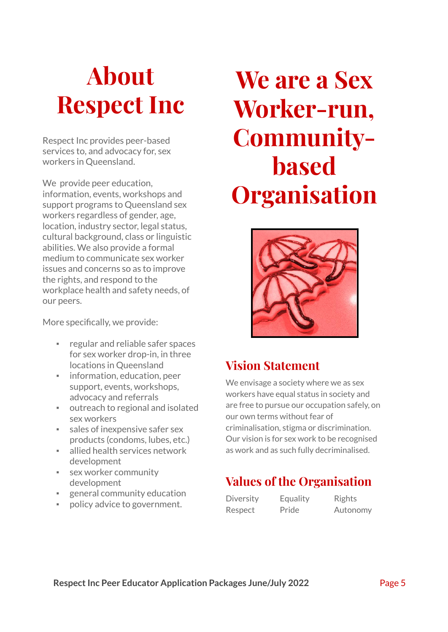# **About Respect Inc**

Respect Inc provides peer-based services to, and advocacy for, sex workers in Queensland.

We provide peer education. information, events, workshops and support programs to Queensland sex workers regardless of gender, age, location, industry sector, legal status, cultural background, class or linguistic abilities. We also provide a formal medium to communicate sex worker issues and concerns so as to improve the rights, and respond to the workplace health and safety needs, of our peers.

More specifically, we provide:

- regular and reliable safer spaces for sex worker drop-in, in three locations in Queensland
- **·** information, education, peer support, events, workshops, advocacy and referrals
- outreach to regional and isolated sex workers
- sales of inexpensive safer sex products (condoms, lubes, etc.)
- allied health services network development
- sex worker community development
- general community education
- policy advice to government.

# **We are a Sex Worker-run, Communitybased Organisation**



### **Vision Statement**

We envisage a society where we as sex workers have equal status in society and are free to pursue our occupation safely, on our own terms without fear of criminalisation, stigma or discrimination. Our vision is for sex work to be recognised as work and as such fully decriminalised.

### **Values of the Organisation**

Diversity Equality Rights Respect Pride Autonomy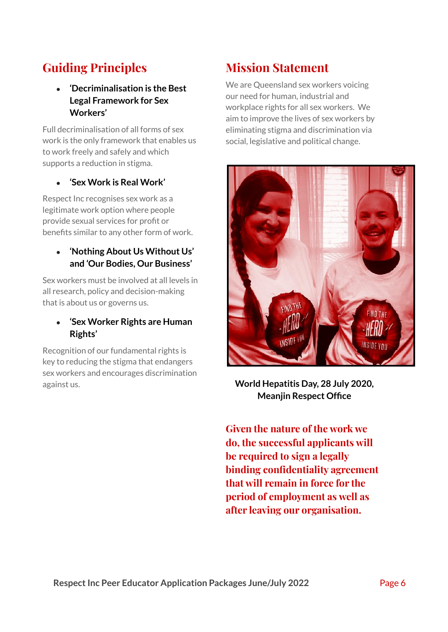### **Guiding Principles**

**● 'Decriminalisation is the Best Legal Framework for Sex Workers'**

Full decriminalisation of all forms of sex work is the only framework that enables us to work freely and safely and which supports a reduction in stigma.

#### **● 'Sex Work is Real Work'**

Respect Inc recognises sex work as a legitimate work option where people provide sexual services for profit or benefits similar to any other form of work.

#### **● 'Nothing About Us Without Us' and 'Our Bodies, Our Business'**

Sex workers must be involved at all levels in all research, policy and decision-making that is about us or governs us.

#### **● 'Sex Worker Rights are Human Rights'**

Recognition of our fundamental rights is key to reducing the stigma that endangers sex workers and encourages discrimination against us.

### **Mission Statement**

We are Queensland sex workers voicing our need for human, industrial and workplace rights for all sex workers. We aim to improve the lives of sex workers by eliminating stigma and discrimination via social, legislative and political change.



**World Hepatitis Day, 28 July 2020, Meanjin Respect Office**

**Given the nature of the work we do, the successful applicants will be required to sign a legally binding confidentiality agreement that will remain in force for the period of employment as well as after leaving our organisation.**